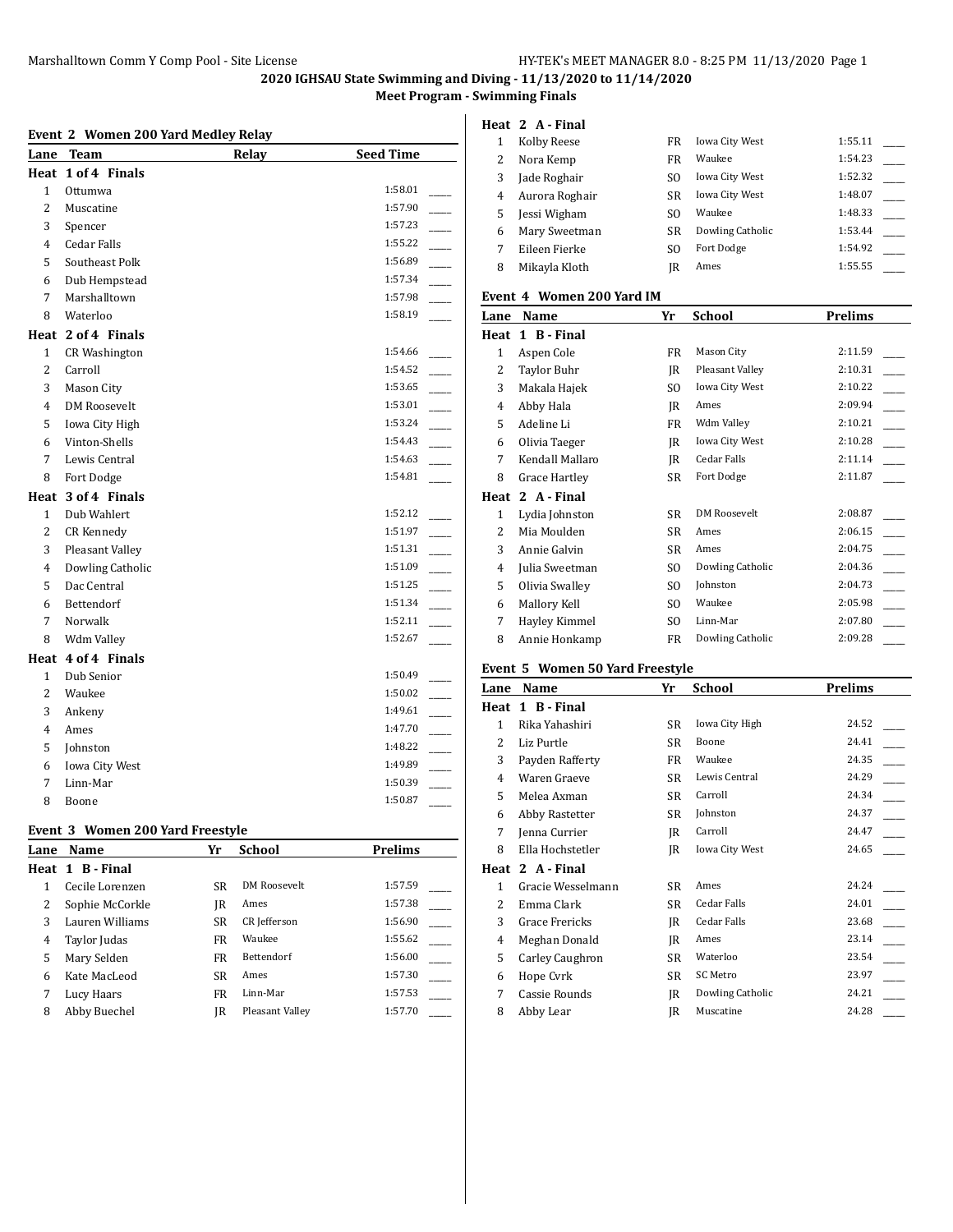**2020 IGHSAU State Swimming and Diving - 11/13/2020 to 11/14/2020**

**Meet Program - Swimming Finals**

|                | Event 2 Women 200 Yard Medley Relay |       |                  |                | Heat 2 A - Fir    |
|----------------|-------------------------------------|-------|------------------|----------------|-------------------|
|                | Lane Team                           | Relay | <b>Seed Time</b> | $\mathbf{1}$   | Kolby Ree         |
|                | Heat 1 of 4 Finals                  |       |                  | $\overline{c}$ | Nora Kem          |
| 1              | Ottumwa                             |       | 1:58.01          | 3              | Jade Rogh         |
| $\overline{2}$ | Muscatine                           |       | 1:57.90          | $\overline{4}$ | Aurora Ro         |
| 3              | Spencer                             |       | 1:57.23          | 5              | Jessi Wigh        |
| 4              | <b>Cedar Falls</b>                  |       | 1:55.22          | 6              | Mary Swe          |
| 5              | Southeast Polk                      |       | 1:56.89          | $\overline{7}$ | Eileen Fier       |
| 6              | Dub Hempstead                       |       | 1:57.34          | 8              | Mikayla Kl        |
| 7              | Marshalltown                        |       | 1:57.98          |                | Event 4 Wom       |
| 8              | Waterloo                            |       | 1:58.19          |                | Lane Name         |
|                | Heat 2 of 4 Finals                  |       |                  |                | Heat 1 B - Fir    |
| $\mathbf{1}$   | <b>CR Washington</b>                |       | 1:54.66          | $\mathbf{1}$   | Aspen Col         |
| $\overline{2}$ | Carroll                             |       | 1:54.52          | $\overline{c}$ | <b>Taylor Bul</b> |
| 3              | Mason City                          |       | 1:53.65          | 3              | Makala Ha         |
| 4              | <b>DM Roosevelt</b>                 |       | 1:53.01          | $\overline{4}$ | Abby Hala         |
| 5              | Iowa City High                      |       | 1:53.24          | 5              | Adeline Li        |
| 6              | Vinton-Shells                       |       | 1:54.43          | 6              | Olivia Taes       |
| $\overline{7}$ | Lewis Central                       |       | 1:54.63          | $\overline{7}$ | Kendall M         |
| 8              | Fort Dodge                          |       | 1:54.81          | 8              | Grace Har         |
|                | Heat 3 of 4 Finals                  |       |                  |                | Heat 2 A - Fir    |
| $\mathbf{1}$   | Dub Wahlert                         |       | 1:52.12          | $\mathbf{1}$   | Lydia John        |
| $\overline{2}$ | <b>CR Kennedy</b>                   |       | 1:51.97          | 2              | Mia Mould         |
| 3              | Pleasant Valley                     |       | 1:51.31          | 3              | Annie Galy        |
| 4              | Dowling Catholic                    |       | 1:51.09          | 4              | Julia Swee        |
| 5              | Dac Central                         |       | 1:51.25          | 5              | Olivia Swa        |
| 6              | Bettendorf                          |       | 1:51.34          | 6              | Mallory Ke        |
| 7              | Norwalk                             |       | 1:52.11          | 7              | Hayley Kir        |
| 8              | Wdm Valley                          |       | 1:52.67          | 8              | Annie Hor         |
|                | Heat 4 of 4 Finals                  |       |                  |                |                   |
| $\mathbf{1}$   | Dub Senior                          |       | 1:50.49          |                | Event 5 Wom       |
| $\overline{2}$ | Waukee                              |       | 1:50.02          |                | Lane Name         |
| 3              | Ankeny                              |       | 1:49.61          |                | Heat 1 B - Fir    |
| 4              | Ames                                |       | 1:47.70          | $\mathbf{1}$   | Rika Yahas        |
| 5              | Johnston                            |       | 1:48.22          | 2              | Liz Purtle        |
| 6              | Iowa City West                      |       | 1:49.89          | 3              | Payden Ra         |
| 7              | Linn-Mar                            |       | 1:50.39          | $\overline{4}$ | Waren Gra         |
| 8              | Boone                               |       | 1:50.87          | 5              | Melea Axn         |
|                |                                     |       |                  | $\epsilon$     | $A$ hhy Doot      |

## **Event 3 Women 200 Yard Freestyle**

| Lane | Name            | Yr        | School          | <b>Prelims</b> |
|------|-----------------|-----------|-----------------|----------------|
|      | Heat 1 B-Final  |           |                 |                |
|      | Cecile Lorenzen | <b>SR</b> | DM Roosevelt    | 1:57.59        |
| 2    | Sophie McCorkle | IR        | Ames            | 1:57.38        |
| 3    | Lauren Williams | <b>SR</b> | CR Jefferson    | 1:56.90        |
| 4    | Taylor Judas    | <b>FR</b> | Waukee          | 1:55.62        |
| 5    | Mary Selden     | FR        | Bettendorf      | 1:56.00        |
| 6    | Kate MacLeod    | <b>SR</b> | Ames            | 1:57.30        |
|      | Lucy Haars      | <b>FR</b> | Linn-Mar        | 1:57.53        |
| 8    | Abby Buechel    | IR        | Pleasant Valley | 1:57.70        |
|      |                 |           |                 |                |

| Lane | Name                      | Yr             | <b>School</b>         | <b>Prelims</b> |
|------|---------------------------|----------------|-----------------------|----------------|
|      | Event 4 Women 200 Yard IM |                |                       |                |
| 8    | Mikayla Kloth             | IR             | Ames                  | 1:55.55        |
| 7    | Eileen Fierke             | SO.            | Fort Dodge            | 1:54.92        |
| 6    | Mary Sweetman             | <b>SR</b>      | Dowling Catholic      | 1:53.44        |
| 5    | Jessi Wigham              | S <sub>O</sub> | Waukee                | 1:48.33        |
| 4    | Aurora Roghair            | <b>SR</b>      | <b>Iowa City West</b> | 1:48.07        |
| 3    | Jade Roghair              | SO.            | <b>Iowa City West</b> | 1:52.32        |
| 2    | Nora Kemp                 | FR             | Waukee                | 1:54.23        |
| 1    | Kolby Reese               | FR.            | <b>Iowa City West</b> | 1:55.11        |
|      | Heat 2 A - Final          |                |                       |                |

| Heat | 1 B - Final     |                |                     |         |
|------|-----------------|----------------|---------------------|---------|
| 1    | Aspen Cole      | FR             | Mason City          | 2:11.59 |
| 2    | Taylor Buhr     | IR             | Pleasant Valley     | 2:10.31 |
| 3    | Makala Hajek    | S <sub>O</sub> | Iowa City West      | 2:10.22 |
| 4    | Abby Hala       | IR             | Ames                | 2:09.94 |
| 5    | Adeline Li      | FR             | Wdm Valley          | 2:10.21 |
| 6    | Olivia Taeger   | IR             | Iowa City West      | 2:10.28 |
| 7    | Kendall Mallaro | IR             | Cedar Falls         | 2:11.14 |
| 8    | Grace Hartley   | SR             | Fort Dodge          | 2:11.87 |
|      |                 |                |                     |         |
| Heat | 2 A - Final     |                |                     |         |
| 1    | Lydia Johnston  | SR             | <b>DM Roosevelt</b> | 2:08.87 |
| 2    | Mia Moulden     | SR             | Ames                | 2:06.15 |
| 3    | Annie Galvin    | SR             | Ames                | 2:04.75 |
| 4    | Julia Sweetman  | S <sub>O</sub> | Dowling Catholic    | 2:04.36 |
| 5    | Olivia Swalley  | S <sub>0</sub> | Johnston            | 2:04.73 |
| 6    | Mallory Kell    | S <sub>O</sub> | Waukee              | 2:05.98 |
| 7    | Hayley Kimmel   | S <sub>O</sub> | Linn-Mar            | 2:07.80 |

# **Event 5 Women 50 Yard Freestyle**

| Lane | Name              | Yr | School           | Prelims |
|------|-------------------|----|------------------|---------|
| Heat | 1 B - Final       |    |                  |         |
| 1    | Rika Yahashiri    | SR | Iowa City High   | 24.52   |
| 2    | Liz Purtle        | SR | Boone            | 24.41   |
| 3    | Payden Rafferty   | FR | Waukee           | 24.35   |
| 4    | Waren Graeve      | SR | Lewis Central    | 24.29   |
| 5    | Melea Axman       | SR | Carroll          | 24.34   |
| 6    | Abby Rastetter    | SR | Johnston         | 24.37   |
| 7    | Jenna Currier     | IR | Carroll          | 24.47   |
| 8    | Ella Hochstetler  | IR | Iowa City West   | 24.65   |
| Heat | 2 A - Final       |    |                  |         |
| 1    | Gracie Wesselmann | SR | Ames             | 24.24   |
| 2    | Emma Clark        | SR | Cedar Falls      | 24.01   |
| 3    | Grace Frericks    | IR | Cedar Falls      | 23.68   |
| 4    | Meghan Donald     | IR | Ames             | 23.14   |
| 5    | Carley Caughron   | SR | Waterloo         | 23.54   |
| 6    | Hope Cvrk         | SR | SC Metro         | 23.97   |
| 7    | Cassie Rounds     | IR | Dowling Catholic | 24.21   |
| 8    | Abby Lear         | IR | Muscatine        | 24.28   |
|      |                   |    |                  |         |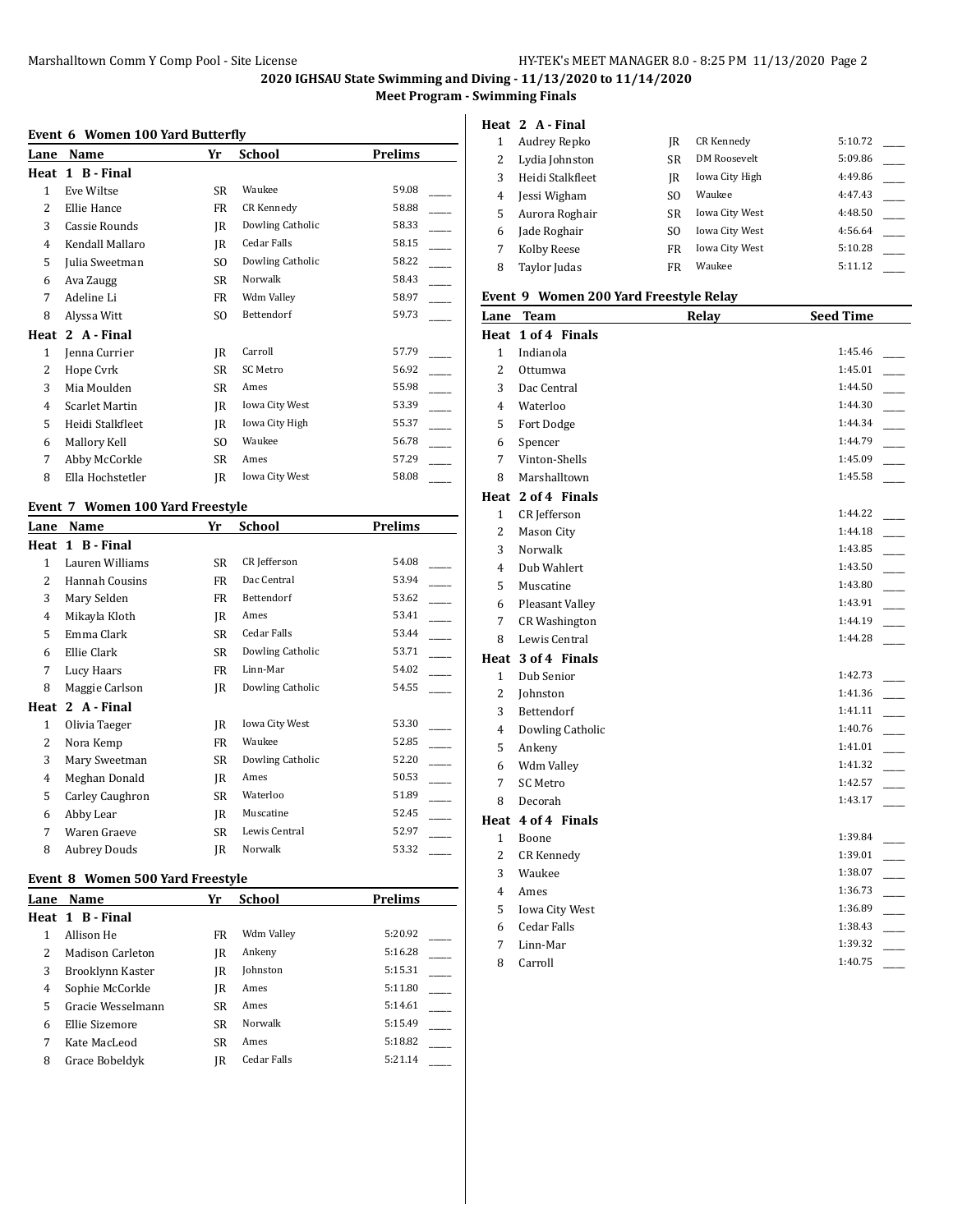**2020 IGHSAU State Swimming and Diving - 11/13/2020 to 11/14/2020**

**Meet Program - Swimming Finals**

### **Event 6 Women 100 Yard Butterfly**

| Lane         | Name                  | Yr             | School           | Prelims |
|--------------|-----------------------|----------------|------------------|---------|
| Heat         | 1 B - Final           |                |                  |         |
| $\mathbf{1}$ | Eve Wiltse            | <b>SR</b>      | Waukee           | 59.08   |
| 2            | Ellie Hance           | FR             | CR Kennedy       | 58.88   |
| 3            | Cassie Rounds         | IR             | Dowling Catholic | 58.33   |
| 4            | Kendall Mallaro       | IR             | Cedar Falls      | 58.15   |
| 5            | Julia Sweetman        | S <sub>O</sub> | Dowling Catholic | 58.22   |
| 6            | Ava Zaugg             | SR             | Norwalk          | 58.43   |
| 7            | Adeline Li            | FR             | Wdm Valley       | 58.97   |
| 8            | Alyssa Witt           | S <sub>O</sub> | Bettendorf       | 59.73   |
| Heat         | 2 A - Final           |                |                  |         |
| $\mathbf{1}$ | Jenna Currier         | IR             | Carroll          | 57.79   |
| 2            | Hope Cvrk             | SR             | SC Metro         | 56.92   |
| 3            | Mia Moulden           | SR             | Ames             | 55.98   |
| 4            | <b>Scarlet Martin</b> | IR             | Iowa City West   | 53.39   |
| 5            | Heidi Stalkfleet      | IR             | Iowa City High   | 55.37   |
| 6            | Mallory Kell          | S <sub>O</sub> | Waukee           | 56.78   |
| 7            | Abby McCorkle         | SR             | Ames             | 57.29   |
| 8            | Ella Hochstetler      | IR             | Iowa City West   | 58.08   |
|              |                       |                |                  |         |

# **Event 7 Women 100 Yard Freestyle**

| Lane | Name                  | Yr | School           | <b>Prelims</b> |
|------|-----------------------|----|------------------|----------------|
| Heat | 1 B - Final           |    |                  |                |
| 1    | Lauren Williams       | SR | CR Jefferson     | 54.08          |
| 2    | <b>Hannah Cousins</b> | FR | Dac Central      | 53.94          |
| 3    | Mary Selden           | FR | Bettendorf       | 53.62          |
| 4    | Mikayla Kloth         | IR | Ames             | 53.41          |
| 5    | Emma Clark            | SR | Cedar Falls      | 53.44          |
| 6    | Ellie Clark           | SR | Dowling Catholic | 53.71          |
| 7    | Lucy Haars            | FR | Linn-Mar         | 54.02          |
| 8    | Maggie Carlson        | IR | Dowling Catholic | 54.55          |
| Heat | 2 A - Final           |    |                  |                |
| 1    | Olivia Taeger         | IR | Iowa City West   | 53.30          |
| 2    | Nora Kemp             | FR | Waukee           | 52.85          |
| 3    | Mary Sweetman         | SR | Dowling Catholic | 52.20          |
| 4    | Meghan Donald         | IR | Ames             | 50.53          |
| 5    | Carley Caughron       | SR | Waterloo         | 51.89          |
| 6    | Abby Lear             | IR | Muscatine        | 52.45          |
| 7    | Waren Graeve          | SR | Lewis Central    | 52.97          |
| 8    | Aubrey Douds          | IR | Norwalk          | 53.32          |

#### **Event 8 Women 500 Yard Freestyle**

| Lane | <b>Name</b>       | Yr        | School          | Prelims |
|------|-------------------|-----------|-----------------|---------|
|      | Heat 1 B-Final    |           |                 |         |
|      | Allison He        | FR        | Wdm Valley      | 5:20.92 |
| 2    | Madison Carleton  | IR        | Ankeny          | 5:16.28 |
| 3    | Brooklynn Kaster  | IR        | <b>Iohnston</b> | 5:15.31 |
| 4    | Sophie McCorkle   | IR        | Ames            | 5:11.80 |
| 5    | Gracie Wesselmann | <b>SR</b> | Ames            | 5:14.61 |
| 6    | Ellie Sizemore    | <b>SR</b> | Norwalk         | 5:15.49 |
|      | Kate MacLeod      | <b>SR</b> | Ames            | 5:18.82 |
| 8    | Grace Bobeldyk    | IR        | Cedar Falls     | 5:21.14 |
|      |                   |           |                 |         |

### **Heat 2 A - Final**

|   | Audrey Repko     | IR  | CR Kennedy            | 5:10.72 |  |
|---|------------------|-----|-----------------------|---------|--|
|   | Lydia Johnston   | SR  | DM Roosevelt          | 5:09.86 |  |
| 3 | Heidi Stalkfleet | IR  | Iowa City High        | 4:49.86 |  |
| 4 | Jessi Wigham     | SO. | Waukee                | 4:47.43 |  |
| 5 | Aurora Roghair   | SR  | <b>Iowa City West</b> | 4:48.50 |  |
| 6 | Jade Roghair     | SO. | <b>Iowa City West</b> | 4:56.64 |  |
|   | Kolby Reese      | FR  | <b>Iowa City West</b> | 5:10.28 |  |
| 8 | Taylor Judas     | FR  | Waukee                | 5:11.12 |  |

### **Event 9 Women 200 Yard Freestyle Relay**

|                | Lane Team            | <b>Relay</b> | <b>Seed Time</b> |
|----------------|----------------------|--------------|------------------|
|                | Heat 1 of 4 Finals   |              |                  |
| $\mathbf{1}$   | Indianola            |              | 1:45.46          |
| $\overline{2}$ | Ottumwa              |              | 1:45.01          |
| 3              | Dac Central          |              | 1:44.50          |
| 4              | Waterloo             |              | 1:44.30          |
| 5              | Fort Dodge           |              | 1:44.34          |
| 6              | Spencer              |              | 1:44.79          |
| 7              | Vinton-Shells        |              | 1:45.09          |
| 8              | Marshalltown         |              | 1:45.58          |
|                | Heat 2 of 4 Finals   |              |                  |
| 1              | CR Jefferson         |              | 1:44.22          |
| $\overline{c}$ | Mason City           |              | 1:44.18          |
| 3              | Norwalk              |              | 1:43.85          |
| 4              | Dub Wahlert          |              | 1:43.50          |
| 5              | Muscatine            |              | 1:43.80          |
| 6              | Pleasant Valley      |              | 1:43.91          |
| 7              | <b>CR Washington</b> |              | 1:44.19          |
| 8              | Lewis Central        |              | 1:44.28          |
|                | Heat 3 of 4 Finals   |              |                  |
| $\mathbf{1}$   | Dub Senior           |              | 1:42.73          |
| 2              | Johnston             |              | 1:41.36          |
| 3              | Bettendorf           |              | 1:41.11          |
| 4              | Dowling Catholic     |              | 1:40.76          |
| 5              | Ankeny               |              | 1:41.01          |
| 6              | Wdm Valley           |              | 1:41.32          |
| 7              | <b>SC Metro</b>      |              | 1:42.57          |
| 8              | Decorah              |              | 1:43.17          |
|                | Heat 4 of 4 Finals   |              |                  |
| $\mathbf{1}$   | Boone                |              | 1:39.84          |
| $\overline{2}$ | <b>CR Kennedy</b>    |              | 1:39.01          |
| 3              | Waukee               |              | 1:38.07          |
| 4              | Ames                 |              | 1:36.73          |
| 5              | Iowa City West       |              | 1:36.89          |
| 6              | <b>Cedar Falls</b>   |              | 1:38.43          |
| 7              | Linn-Mar             |              | 1:39.32          |
| 8              | Carroll              |              | 1:40.75          |